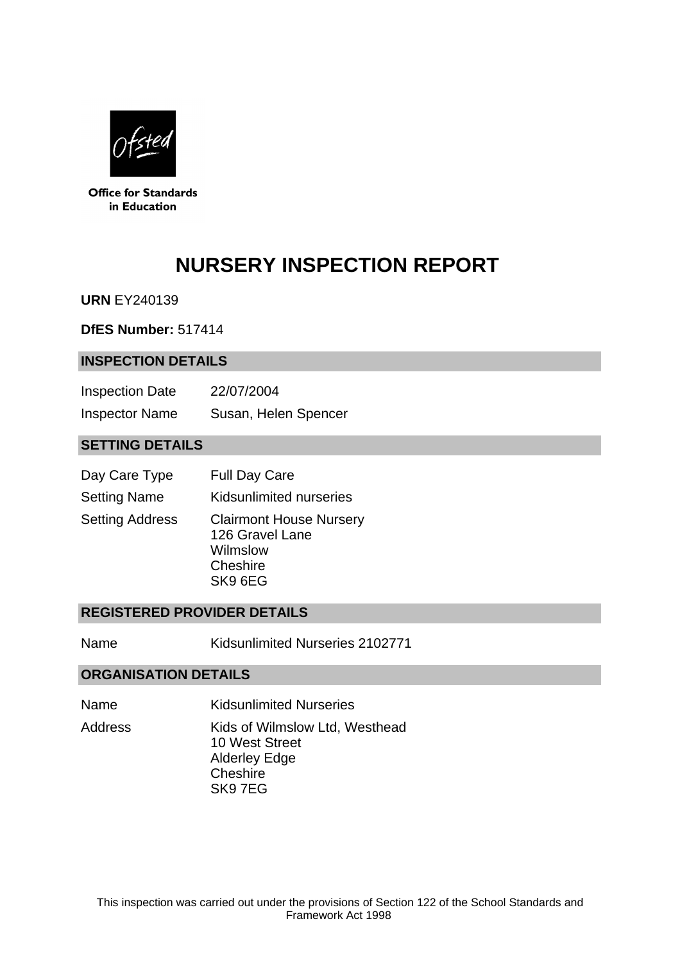

**Office for Standards** in Education

# **NURSERY INSPECTION REPORT**

**URN** EY240139

**DfES Number:** 517414

## **INSPECTION DETAILS**

| <b>Inspection Date</b> | 22/07/2004           |
|------------------------|----------------------|
| <b>Inspector Name</b>  | Susan, Helen Spencer |

## **SETTING DETAILS**

| Day Care Type          | <b>Full Day Care</b>                                                                 |
|------------------------|--------------------------------------------------------------------------------------|
| <b>Setting Name</b>    | Kidsunlimited nurseries                                                              |
| <b>Setting Address</b> | <b>Clairmont House Nursery</b><br>126 Gravel Lane<br>Wilmslow<br>Cheshire<br>SK9 6EG |

## **REGISTERED PROVIDER DETAILS**

Name Kidsunlimited Nurseries 2102771

## **ORGANISATION DETAILS**

- Name Kidsunlimited Nurseries
- Address Kids of Wilmslow Ltd, Westhead 10 West Street Alderley Edge Cheshire SK9 7EG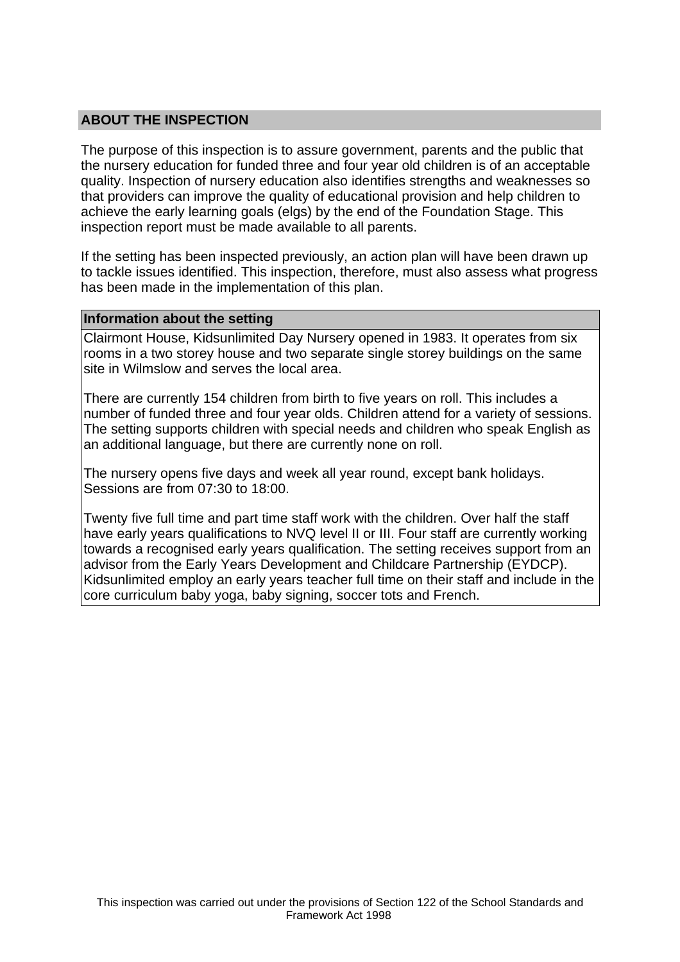## **ABOUT THE INSPECTION**

The purpose of this inspection is to assure government, parents and the public that the nursery education for funded three and four year old children is of an acceptable quality. Inspection of nursery education also identifies strengths and weaknesses so that providers can improve the quality of educational provision and help children to achieve the early learning goals (elgs) by the end of the Foundation Stage. This inspection report must be made available to all parents.

If the setting has been inspected previously, an action plan will have been drawn up to tackle issues identified. This inspection, therefore, must also assess what progress has been made in the implementation of this plan.

#### **Information about the setting**

Clairmont House, Kidsunlimited Day Nursery opened in 1983. It operates from six rooms in a two storey house and two separate single storey buildings on the same site in Wilmslow and serves the local area.

There are currently 154 children from birth to five years on roll. This includes a number of funded three and four year olds. Children attend for a variety of sessions. The setting supports children with special needs and children who speak English as an additional language, but there are currently none on roll.

The nursery opens five days and week all year round, except bank holidays. Sessions are from 07:30 to 18:00.

Twenty five full time and part time staff work with the children. Over half the staff have early years qualifications to NVQ level II or III. Four staff are currently working towards a recognised early years qualification. The setting receives support from an advisor from the Early Years Development and Childcare Partnership (EYDCP). Kidsunlimited employ an early years teacher full time on their staff and include in the core curriculum baby yoga, baby signing, soccer tots and French.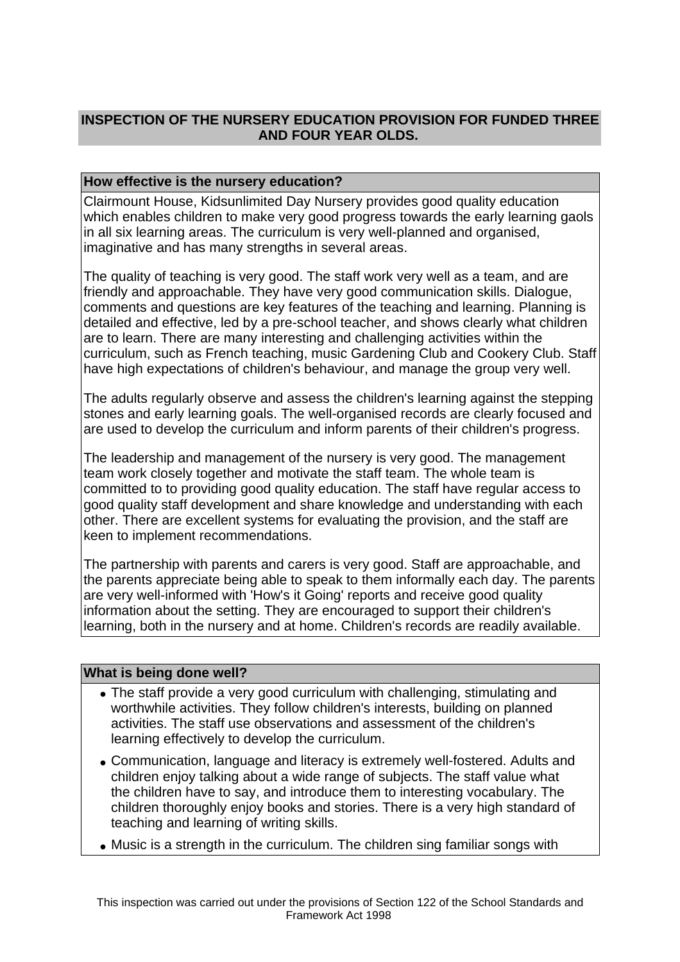# **INSPECTION OF THE NURSERY EDUCATION PROVISION FOR FUNDED THREE AND FOUR YEAR OLDS.**

## **How effective is the nursery education?**

Clairmount House, Kidsunlimited Day Nursery provides good quality education which enables children to make very good progress towards the early learning gaols in all six learning areas. The curriculum is very well-planned and organised, imaginative and has many strengths in several areas.

The quality of teaching is very good. The staff work very well as a team, and are friendly and approachable. They have very good communication skills. Dialogue, comments and questions are key features of the teaching and learning. Planning is detailed and effective, led by a pre-school teacher, and shows clearly what children are to learn. There are many interesting and challenging activities within the curriculum, such as French teaching, music Gardening Club and Cookery Club. Staff have high expectations of children's behaviour, and manage the group very well.

The adults regularly observe and assess the children's learning against the stepping stones and early learning goals. The well-organised records are clearly focused and are used to develop the curriculum and inform parents of their children's progress.

The leadership and management of the nursery is very good. The management team work closely together and motivate the staff team. The whole team is committed to to providing good quality education. The staff have regular access to good quality staff development and share knowledge and understanding with each other. There are excellent systems for evaluating the provision, and the staff are keen to implement recommendations.

The partnership with parents and carers is very good. Staff are approachable, and the parents appreciate being able to speak to them informally each day. The parents are very well-informed with 'How's it Going' reports and receive good quality information about the setting. They are encouraged to support their children's learning, both in the nursery and at home. Children's records are readily available.

## **What is being done well?**

- The staff provide a very good curriculum with challenging, stimulating and worthwhile activities. They follow children's interests, building on planned activities. The staff use observations and assessment of the children's learning effectively to develop the curriculum.
- Communication, language and literacy is extremely well-fostered. Adults and children enjoy talking about a wide range of subjects. The staff value what the children have to say, and introduce them to interesting vocabulary. The children thoroughly enjoy books and stories. There is a very high standard of teaching and learning of writing skills.
- Music is a strength in the curriculum. The children sing familiar songs with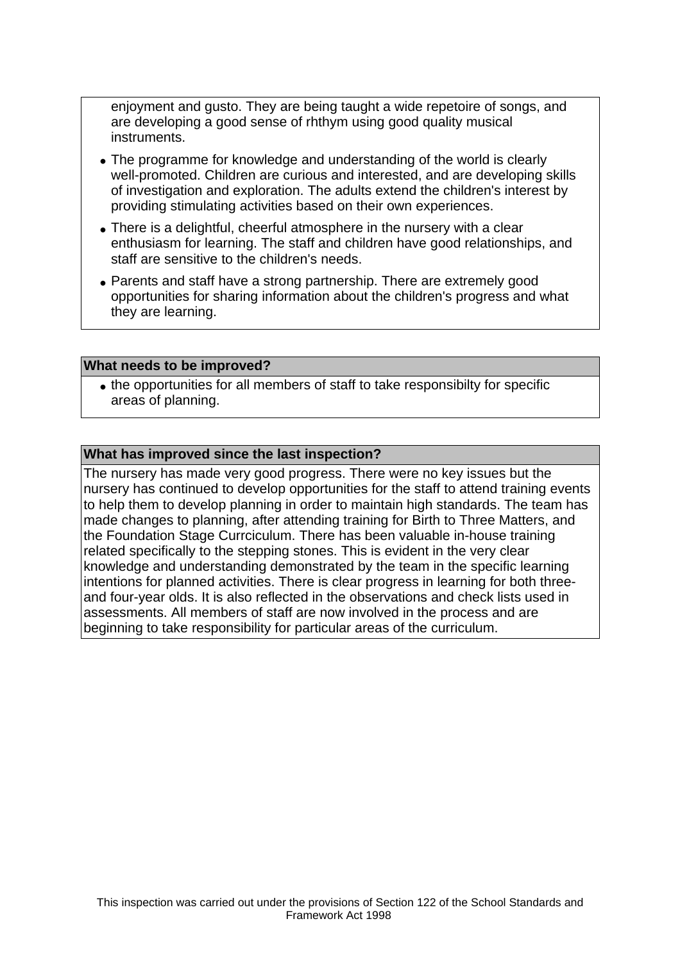enjoyment and gusto. They are being taught a wide repetoire of songs, and are developing a good sense of rhthym using good quality musical instruments.

- The programme for knowledge and understanding of the world is clearly well-promoted. Children are curious and interested, and are developing skills of investigation and exploration. The adults extend the children's interest by providing stimulating activities based on their own experiences.
- There is a delightful, cheerful atmosphere in the nursery with a clear enthusiasm for learning. The staff and children have good relationships, and staff are sensitive to the children's needs.
- Parents and staff have a strong partnership. There are extremely good opportunities for sharing information about the children's progress and what they are learning.

#### **What needs to be improved?**

• the opportunities for all members of staff to take responsibilty for specific areas of planning.

#### **What has improved since the last inspection?**

The nursery has made very good progress. There were no key issues but the nursery has continued to develop opportunities for the staff to attend training events to help them to develop planning in order to maintain high standards. The team has made changes to planning, after attending training for Birth to Three Matters, and the Foundation Stage Currciculum. There has been valuable in-house training related specifically to the stepping stones. This is evident in the very clear knowledge and understanding demonstrated by the team in the specific learning intentions for planned activities. There is clear progress in learning for both threeand four-year olds. It is also reflected in the observations and check lists used in assessments. All members of staff are now involved in the process and are beginning to take responsibility for particular areas of the curriculum.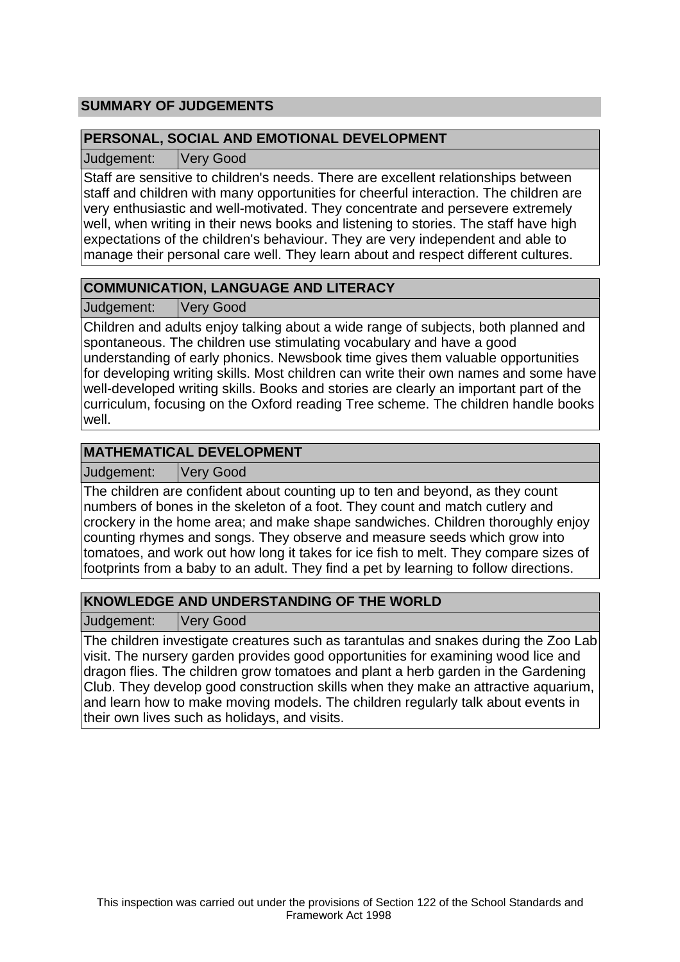# **SUMMARY OF JUDGEMENTS**

## **PERSONAL, SOCIAL AND EMOTIONAL DEVELOPMENT**

Judgement: Very Good

Staff are sensitive to children's needs. There are excellent relationships between staff and children with many opportunities for cheerful interaction. The children are very enthusiastic and well-motivated. They concentrate and persevere extremely well, when writing in their news books and listening to stories. The staff have high expectations of the children's behaviour. They are very independent and able to manage their personal care well. They learn about and respect different cultures.

# **COMMUNICATION, LANGUAGE AND LITERACY**

Judgement: Very Good

Children and adults enjoy talking about a wide range of subjects, both planned and spontaneous. The children use stimulating vocabulary and have a good understanding of early phonics. Newsbook time gives them valuable opportunities for developing writing skills. Most children can write their own names and some have well-developed writing skills. Books and stories are clearly an important part of the curriculum, focusing on the Oxford reading Tree scheme. The children handle books well.

## **MATHEMATICAL DEVELOPMENT**

Judgement: Very Good

The children are confident about counting up to ten and beyond, as they count numbers of bones in the skeleton of a foot. They count and match cutlery and crockery in the home area; and make shape sandwiches. Children thoroughly enjoy counting rhymes and songs. They observe and measure seeds which grow into tomatoes, and work out how long it takes for ice fish to melt. They compare sizes of footprints from a baby to an adult. They find a pet by learning to follow directions.

# **KNOWLEDGE AND UNDERSTANDING OF THE WORLD**

Judgement: Very Good

The children investigate creatures such as tarantulas and snakes during the Zoo Lab visit. The nursery garden provides good opportunities for examining wood lice and dragon flies. The children grow tomatoes and plant a herb garden in the Gardening Club. They develop good construction skills when they make an attractive aquarium, and learn how to make moving models. The children regularly talk about events in their own lives such as holidays, and visits.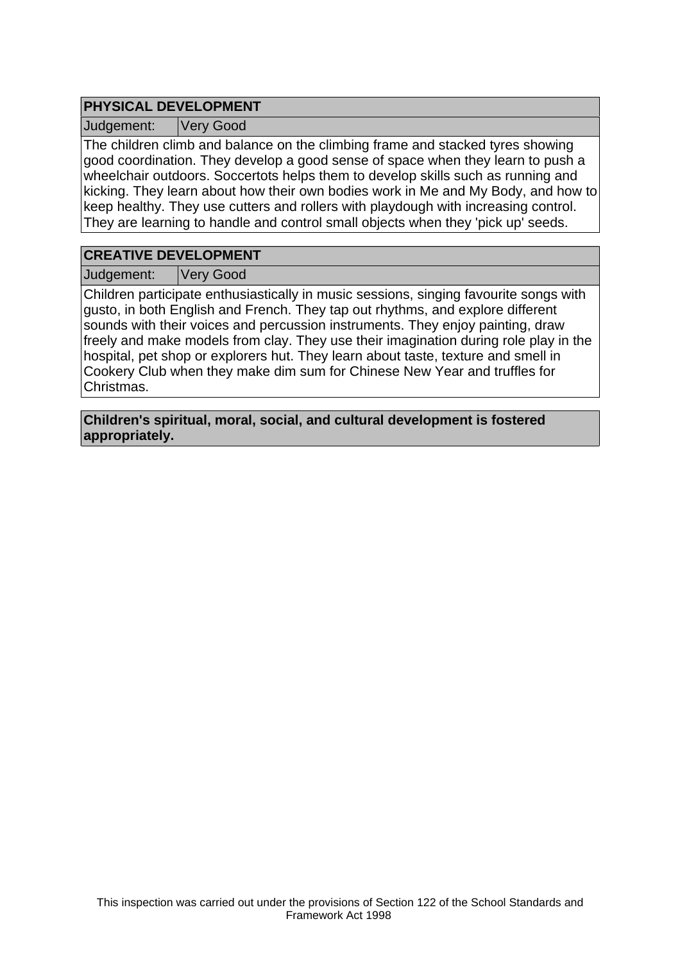## **PHYSICAL DEVELOPMENT**

Judgement: Very Good

The children climb and balance on the climbing frame and stacked tyres showing good coordination. They develop a good sense of space when they learn to push a wheelchair outdoors. Soccertots helps them to develop skills such as running and kicking. They learn about how their own bodies work in Me and My Body, and how to keep healthy. They use cutters and rollers with playdough with increasing control. They are learning to handle and control small objects when they 'pick up' seeds.

## **CREATIVE DEVELOPMENT**

Judgement: Very Good

Children participate enthusiastically in music sessions, singing favourite songs with gusto, in both English and French. They tap out rhythms, and explore different sounds with their voices and percussion instruments. They enjoy painting, draw freely and make models from clay. They use their imagination during role play in the hospital, pet shop or explorers hut. They learn about taste, texture and smell in Cookery Club when they make dim sum for Chinese New Year and truffles for Christmas.

**Children's spiritual, moral, social, and cultural development is fostered appropriately.**